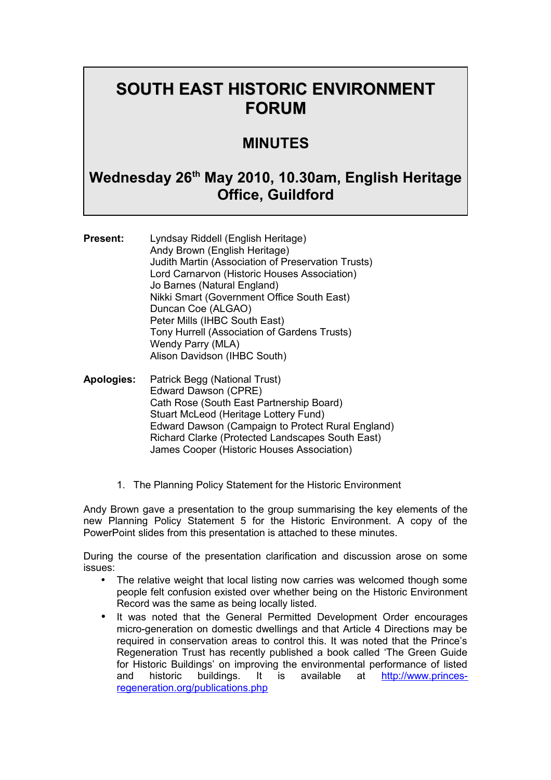# **SOUTH EAST HISTORIC ENVIRONMENT FORUM**

## **MINUTES**

## **Wednesday 26th May 2010, 10.30am, English Heritage Office, Guildford**

**Present:** Lyndsay Riddell (English Heritage) Andy Brown (English Heritage) Judith Martin (Association of Preservation Trusts) Lord Carnarvon (Historic Houses Association) Jo Barnes (Natural England) Nikki Smart (Government Office South East) Duncan Coe (ALGAO) Peter Mills (IHBC South East) Tony Hurrell (Association of Gardens Trusts) Wendy Parry (MLA) Alison Davidson (IHBC South)

- **Apologies:** Patrick Begg (National Trust) Edward Dawson (CPRE) Cath Rose (South East Partnership Board) Stuart McLeod (Heritage Lottery Fund) Edward Dawson (Campaign to Protect Rural England) Richard Clarke (Protected Landscapes South East) James Cooper (Historic Houses Association)
	- 1. The Planning Policy Statement for the Historic Environment

Andy Brown gave a presentation to the group summarising the key elements of the new Planning Policy Statement 5 for the Historic Environment. A copy of the PowerPoint slides from this presentation is attached to these minutes.

During the course of the presentation clarification and discussion arose on some issues:

- The relative weight that local listing now carries was welcomed though some people felt confusion existed over whether being on the Historic Environment Record was the same as being locally listed.
- It was noted that the General Permitted Development Order encourages micro-generation on domestic dwellings and that Article 4 Directions may be required in conservation areas to control this. It was noted that the Prince's Regeneration Trust has recently published a book called 'The Green Guide for Historic Buildings' on improving the environmental performance of listed and historic buildings. It is available at [http://www.princes](http://www.princes-regeneration.org/publications.php)[regeneration.org/publications.php](http://www.princes-regeneration.org/publications.php)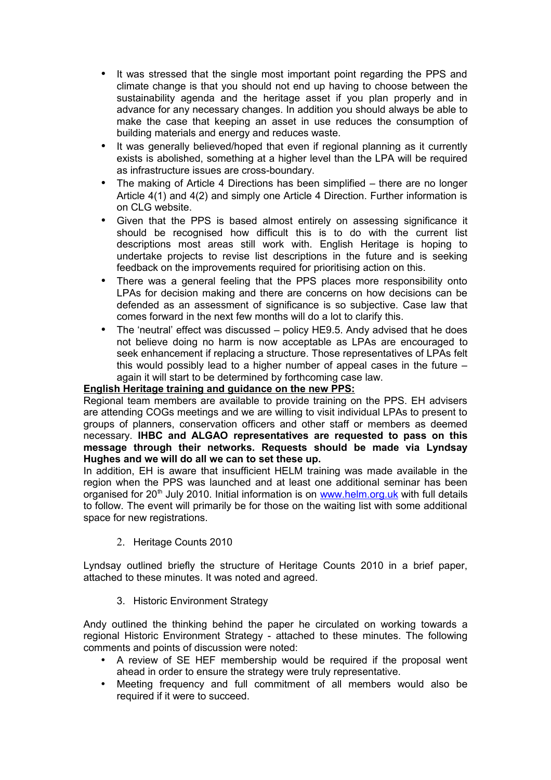- It was stressed that the single most important point regarding the PPS and climate change is that you should not end up having to choose between the sustainability agenda and the heritage asset if you plan properly and in advance for any necessary changes. In addition you should always be able to make the case that keeping an asset in use reduces the consumption of building materials and energy and reduces waste.
- It was generally believed/hoped that even if regional planning as it currently exists is abolished, something at a higher level than the LPA will be required as infrastructure issues are cross-boundary.
- The making of Article 4 Directions has been simplified there are no longer Article 4(1) and 4(2) and simply one Article 4 Direction. Further information is on CLG website.
- Given that the PPS is based almost entirely on assessing significance it should be recognised how difficult this is to do with the current list descriptions most areas still work with. English Heritage is hoping to undertake projects to revise list descriptions in the future and is seeking feedback on the improvements required for prioritising action on this.
- There was a general feeling that the PPS places more responsibility onto LPAs for decision making and there are concerns on how decisions can be defended as an assessment of significance is so subjective. Case law that comes forward in the next few months will do a lot to clarify this.
- The 'neutral' effect was discussed policy HE9.5. Andy advised that he does not believe doing no harm is now acceptable as LPAs are encouraged to seek enhancement if replacing a structure. Those representatives of LPAs felt this would possibly lead to a higher number of appeal cases in the future – again it will start to be determined by forthcoming case law.

#### **English Heritage training and guidance on the new PPS:**

Regional team members are available to provide training on the PPS. EH advisers are attending COGs meetings and we are willing to visit individual LPAs to present to groups of planners, conservation officers and other staff or members as deemed necessary. **IHBC and ALGAO representatives are requested to pass on this message through their networks. Requests should be made via Lyndsay Hughes and we will do all we can to set these up.**

In addition, EH is aware that insufficient HELM training was made available in the region when the PPS was launched and at least one additional seminar has been organised for  $20<sup>th</sup>$  July 2010. Initial information is on [www.helm.org.uk](http://www.helm.org.uk/) with full details to follow. The event will primarily be for those on the waiting list with some additional space for new registrations.

2. Heritage Counts 2010

Lyndsay outlined briefly the structure of Heritage Counts 2010 in a brief paper, attached to these minutes. It was noted and agreed.

#### 3. Historic Environment Strategy

Andy outlined the thinking behind the paper he circulated on working towards a regional Historic Environment Strategy - attached to these minutes. The following comments and points of discussion were noted:

- A review of SE HEF membership would be required if the proposal went ahead in order to ensure the strategy were truly representative.
- Meeting frequency and full commitment of all members would also be required if it were to succeed.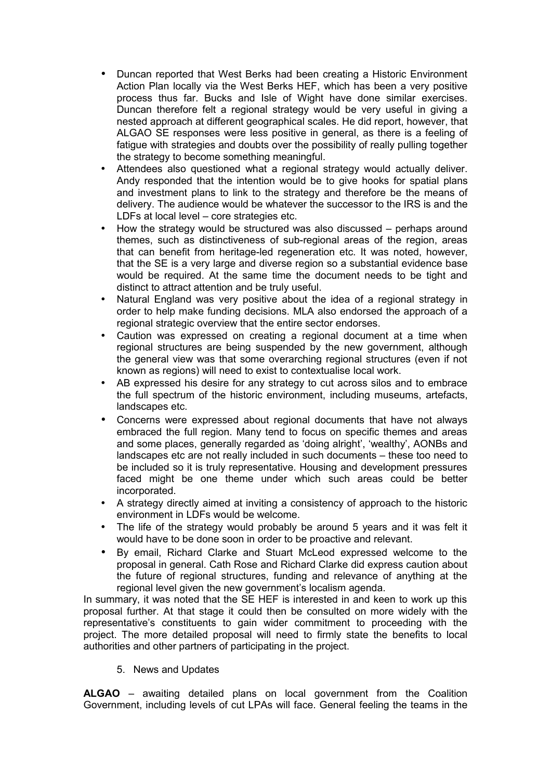- Duncan reported that West Berks had been creating a Historic Environment Action Plan locally via the West Berks HEF, which has been a very positive process thus far. Bucks and Isle of Wight have done similar exercises. Duncan therefore felt a regional strategy would be very useful in giving a nested approach at different geographical scales. He did report, however, that ALGAO SE responses were less positive in general, as there is a feeling of fatigue with strategies and doubts over the possibility of really pulling together the strategy to become something meaningful.
- Attendees also questioned what a regional strategy would actually deliver. Andy responded that the intention would be to give hooks for spatial plans and investment plans to link to the strategy and therefore be the means of delivery. The audience would be whatever the successor to the IRS is and the LDFs at local level – core strategies etc.
- How the strategy would be structured was also discussed perhaps around themes, such as distinctiveness of sub-regional areas of the region, areas that can benefit from heritage-led regeneration etc. It was noted, however, that the SE is a very large and diverse region so a substantial evidence base would be required. At the same time the document needs to be tight and distinct to attract attention and be truly useful.
- Natural England was very positive about the idea of a regional strategy in order to help make funding decisions. MLA also endorsed the approach of a regional strategic overview that the entire sector endorses.
- Caution was expressed on creating a regional document at a time when regional structures are being suspended by the new government, although the general view was that some overarching regional structures (even if not known as regions) will need to exist to contextualise local work.
- AB expressed his desire for any strategy to cut across silos and to embrace the full spectrum of the historic environment, including museums, artefacts, landscapes etc.
- Concerns were expressed about regional documents that have not always embraced the full region. Many tend to focus on specific themes and areas and some places, generally regarded as 'doing alright', 'wealthy', AONBs and landscapes etc are not really included in such documents – these too need to be included so it is truly representative. Housing and development pressures faced might be one theme under which such areas could be better incorporated.
- A strategy directly aimed at inviting a consistency of approach to the historic environment in LDFs would be welcome.
- The life of the strategy would probably be around 5 years and it was felt it would have to be done soon in order to be proactive and relevant.
- By email, Richard Clarke and Stuart McLeod expressed welcome to the proposal in general. Cath Rose and Richard Clarke did express caution about the future of regional structures, funding and relevance of anything at the regional level given the new government's localism agenda.

In summary, it was noted that the SE HEF is interested in and keen to work up this proposal further. At that stage it could then be consulted on more widely with the representative's constituents to gain wider commitment to proceeding with the project. The more detailed proposal will need to firmly state the benefits to local authorities and other partners of participating in the project.

5. News and Updates

**ALGAO** – awaiting detailed plans on local government from the Coalition Government, including levels of cut LPAs will face. General feeling the teams in the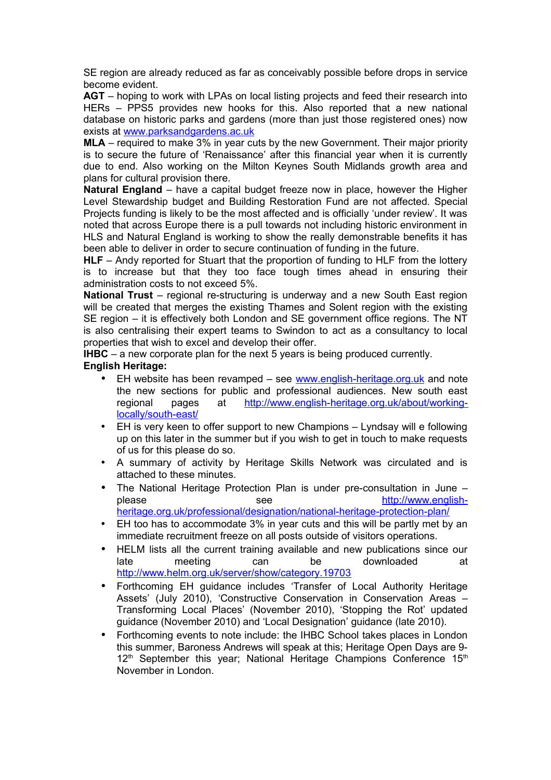SE region are already reduced as far as conceivably possible before drops in service become evident.

**AGT** – hoping to work with LPAs on local listing projects and feed their research into HERs – PPS5 provides new hooks for this. Also reported that a new national database on historic parks and gardens (more than just those registered ones) now exists at [www.parksandgardens.ac.uk](http://www.parksandgardens.ac.uk/)

**MLA** – required to make 3% in year cuts by the new Government. Their major priority is to secure the future of 'Renaissance' after this financial year when it is currently due to end. Also working on the Milton Keynes South Midlands growth area and plans for cultural provision there.

**Natural England** – have a capital budget freeze now in place, however the Higher Level Stewardship budget and Building Restoration Fund are not affected. Special Projects funding is likely to be the most affected and is officially 'under review'. It was noted that across Europe there is a pull towards not including historic environment in HLS and Natural England is working to show the really demonstrable benefits it has been able to deliver in order to secure continuation of funding in the future.

**HLF** – Andy reported for Stuart that the proportion of funding to HLF from the lottery is to increase but that they too face tough times ahead in ensuring their administration costs to not exceed 5%.

**National Trust** – regional re-structuring is underway and a new South East region will be created that merges the existing Thames and Solent region with the existing SE region – it is effectively both London and SE government office regions. The NT is also centralising their expert teams to Swindon to act as a consultancy to local properties that wish to excel and develop their offer.

**IHBC** – a new corporate plan for the next 5 years is being produced currently.

#### **English Heritage:**

- EH website has been revamped see [www.english-heritage.org.uk](http://www.english-heritage.org.uk/) and note the new sections for public and professional audiences. New south east regional pages at [http://www.english-heritage.org.uk/about/working](http://www.english-heritage.org.uk/about/working-locally/south-east/)[locally/south-east/](http://www.english-heritage.org.uk/about/working-locally/south-east/)
- EH is very keen to offer support to new Champions Lyndsay will e following up on this later in the summer but if you wish to get in touch to make requests of us for this please do so.
- A summary of activity by Heritage Skills Network was circulated and is attached to these minutes.
- The National Heritage Protection Plan is under pre-consultation in June please see [http://www.english](http://www.english-heritage.org.uk/professional/designation/national-heritage-protection-plan/)[heritage.org.uk/professional/designation/national-heritage-protection-plan/](http://www.english-heritage.org.uk/professional/designation/national-heritage-protection-plan/)
- EH too has to accommodate 3% in year cuts and this will be partly met by an immediate recruitment freeze on all posts outside of visitors operations.
- HELM lists all the current training available and new publications since our late meeting can be downloaded at <http://www.helm.org.uk/server/show/category.19703>
- Forthcoming EH guidance includes 'Transfer of Local Authority Heritage Assets' (July 2010), 'Constructive Conservation in Conservation Areas – Transforming Local Places' (November 2010), 'Stopping the Rot' updated guidance (November 2010) and 'Local Designation' guidance (late 2010).
- Forthcoming events to note include: the IHBC School takes places in London this summer, Baroness Andrews will speak at this; Heritage Open Days are 9-  $12<sup>th</sup>$  September this year; National Heritage Champions Conference  $15<sup>th</sup>$ November in London.